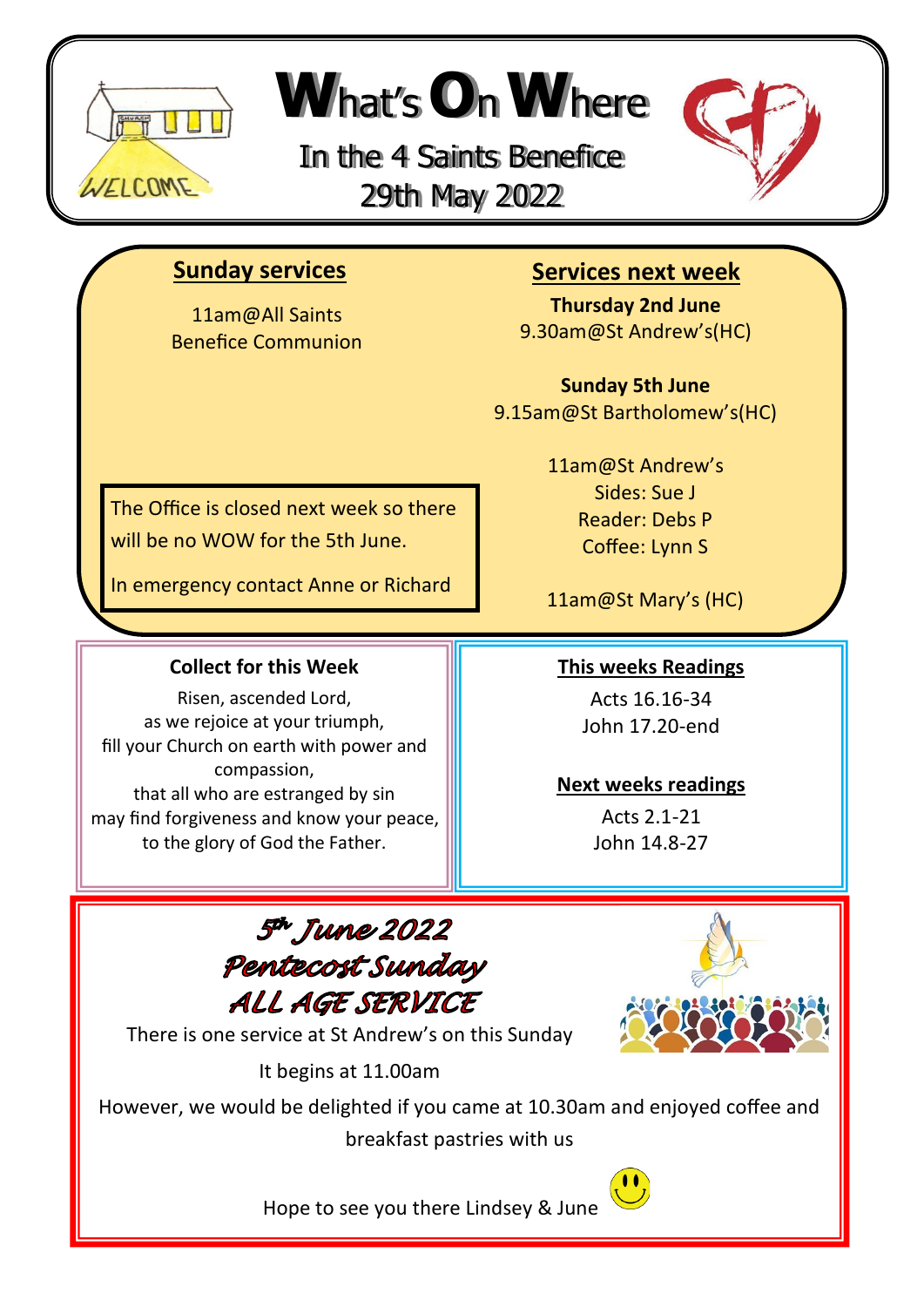

# **W**hat'<sup>s</sup> **O**n**W**here

In the 4 Saints Benefice 29th May 2022



## **Sunday services**

11am@All Saints Benefice Communion

# **Services next week**

**Thursday 2nd June** 9.30am@St Andrew's(HC)

**Sunday 5th June** 9.15am@St Bartholomew's(HC)

The Office is closed next week so there will be no WOW for the 5th June.

In emergency contact Anne or Richard

#### **Collect for this Week**

Risen, ascended Lord, as we rejoice at your triumph, fill your Church on earth with power and compassion, that all who are estranged by sin may find forgiveness and know your peace, to the glory of God the Father.

11am@St Andrew's Sides: Sue J Reader: Debs P Coffee: Lynn S

11am@St Mary's (HC)

#### **This weeks Readings**

Acts 16.16-34 John 17.20-end

#### **Next weeks readings**

Acts 2.1-21 John 14.8-27

5<sup>th</sup> June 2022 Pentecost Sunday ALL AGE SERVICE



There is one service at St Andrew's on this Sunday

It begins at 11.00am

However, we would be delighted if you came at 10.30am and enjoyed coffee and breakfast pastries with us



Hope to see you there Lindsey & June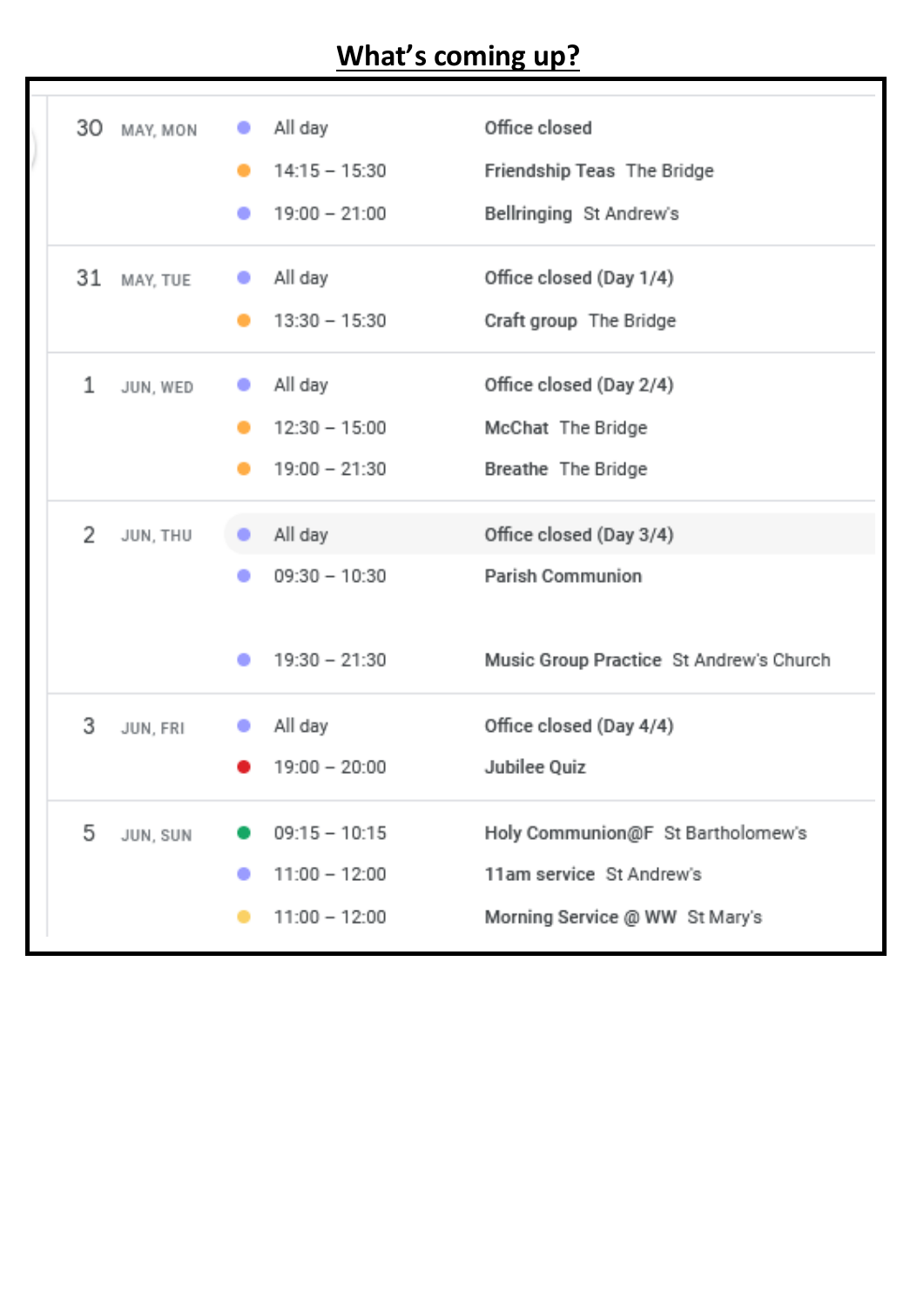# **What's coming up?**

| 30 MAY, MON    | All day<br>$14:15 - 15:30$<br>٠<br>$19:00 - 21:00$              | Office closed<br>Friendship Teas The Bridge<br>Bellringing St Andrew's                          |
|----------------|-----------------------------------------------------------------|-------------------------------------------------------------------------------------------------|
| 31<br>MAY, TUE | All day<br>۰<br>$13:30 - 15:30$                                 | Office closed (Day 1/4)<br>Craft group The Bridge                                               |
| 1<br>JUN, WED  | All day<br>۰<br>$12:30 - 15:00$<br>$19:00 - 21:30$<br>-         | Office closed (Day 2/4)<br>McChat The Bridge<br>Breathe The Bridge                              |
| 2<br>JUN, THU  | All day<br>$09:30 - 10:30$<br>$19:30 - 21:30$                   | Office closed (Day 3/4)<br>Parish Communion<br>Music Group Practice St Andrew's Church          |
| 3<br>JUN, FRI  | All day<br>$19:00 - 20:00$                                      | Office closed (Day 4/4)<br>Jubilee Quiz                                                         |
| 5<br>JUN, SUN  | $09:15 - 10:15$<br>$11:00 - 12:00$<br>۰<br>$11:00 - 12:00$<br>− | Holy Communion@F St Bartholomew's<br>11am service St Andrew's<br>Morning Service @ WW St Mary's |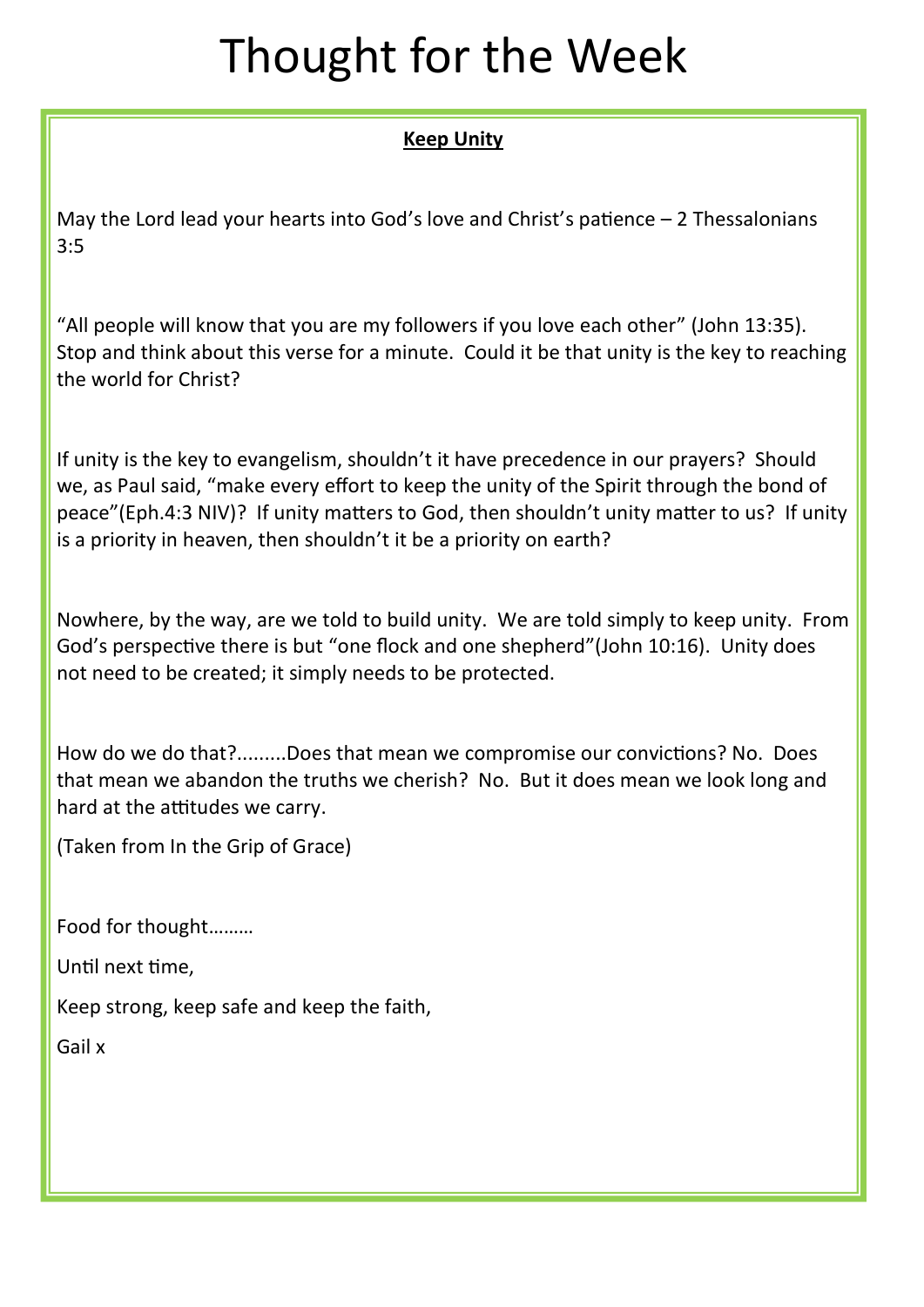# Thought for the Week

#### **Keep Unity**

May the Lord lead your hearts into God's love and Christ's patience – 2 Thessalonians 3:5

"All people will know that you are my followers if you love each other" (John 13:35). Stop and think about this verse for a minute. Could it be that unity is the key to reaching the world for Christ?

If unity is the key to evangelism, shouldn't it have precedence in our prayers? Should we, as Paul said, "make every effort to keep the unity of the Spirit through the bond of peace"(Eph.4:3 NIV)? If unity matters to God, then shouldn't unity matter to us? If unity is a priority in heaven, then shouldn't it be a priority on earth?

Nowhere, by the way, are we told to build unity. We are told simply to keep unity. From God's perspective there is but "one flock and one shepherd"(John 10:16). Unity does not need to be created; it simply needs to be protected.

How do we do that?.........Does that mean we compromise our convictions? No. Does that mean we abandon the truths we cherish? No. But it does mean we look long and hard at the attitudes we carry.

(Taken from In the Grip of Grace)

Food for thought………

Until next time,

Keep strong, keep safe and keep the faith,

Gail x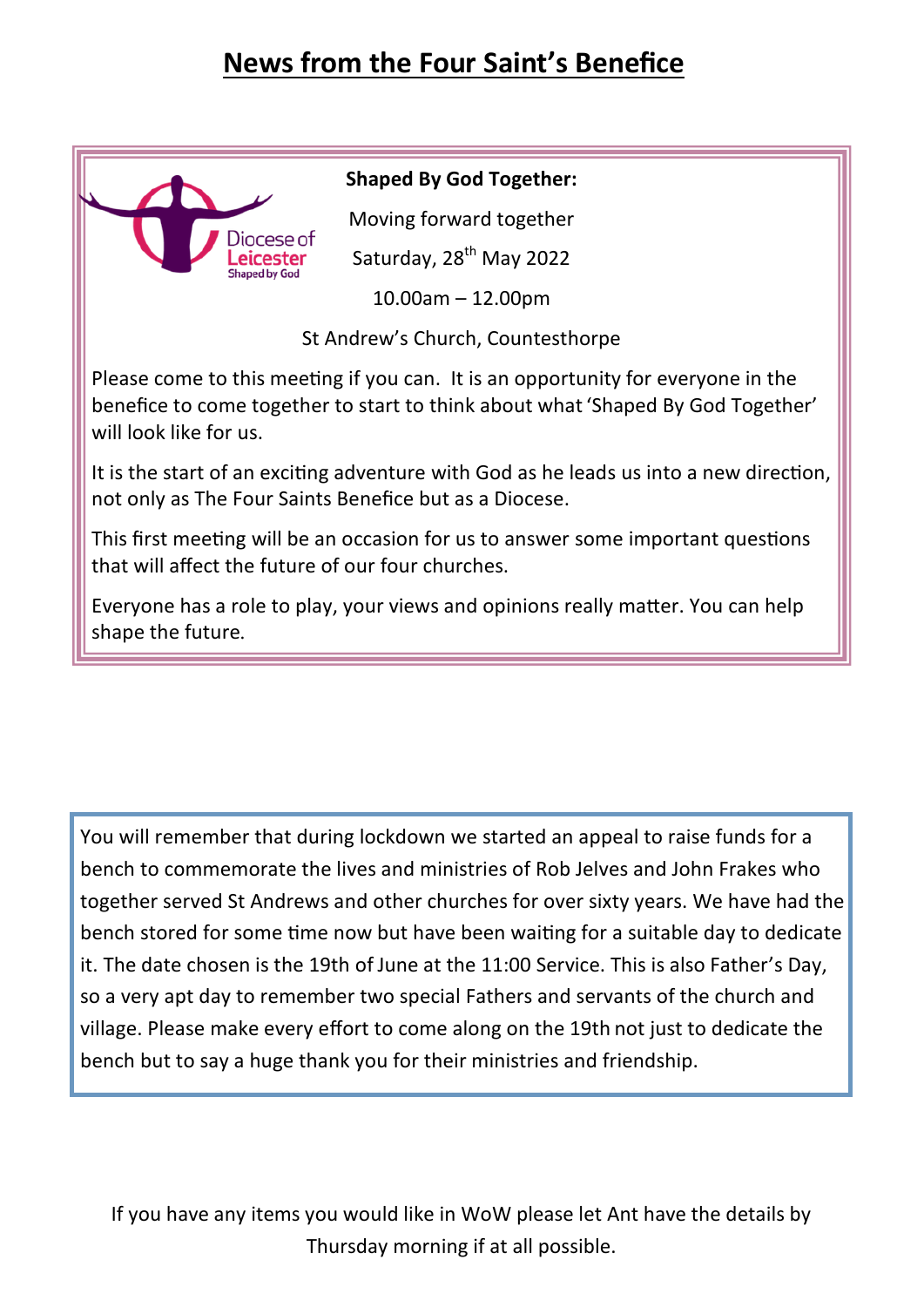# **News from the Four Saint's Benefice**



#### **Shaped By God Together:**

Moving forward together

Saturday, 28<sup>th</sup> May 2022

10.00am – 12.00pm

St Andrew's Church, Countesthorpe

Please come to this meeting if you can. It is an opportunity for everyone in the benefice to come together to start to think about what 'Shaped By God Together' will look like for us.

It is the start of an exciting adventure with God as he leads us into a new direction, not only as The Four Saints Benefice but as a Diocese.

This first meeting will be an occasion for us to answer some important questions that will affect the future of our four churches.

Everyone has a role to play, your views and opinions really matter. You can help shape the future.

You will remember that during lockdown we started an appeal to raise funds for a bench to commemorate the lives and ministries of Rob Jelves and John Frakes who together served St Andrews and other churches for over sixty years. We have had the bench stored for some time now but have been waiting for a suitable day to dedicate it. The date chosen is the 19th of June at the 11:00 Service. This is also Father's Day, so a very apt day to remember two special Fathers and servants of the church and village. Please make every effort to come along on the 19th not just to dedicate the bench but to say a huge thank you for their ministries and friendship.

If you have any items you would like in WoW please let Ant have the details by Thursday morning if at all possible.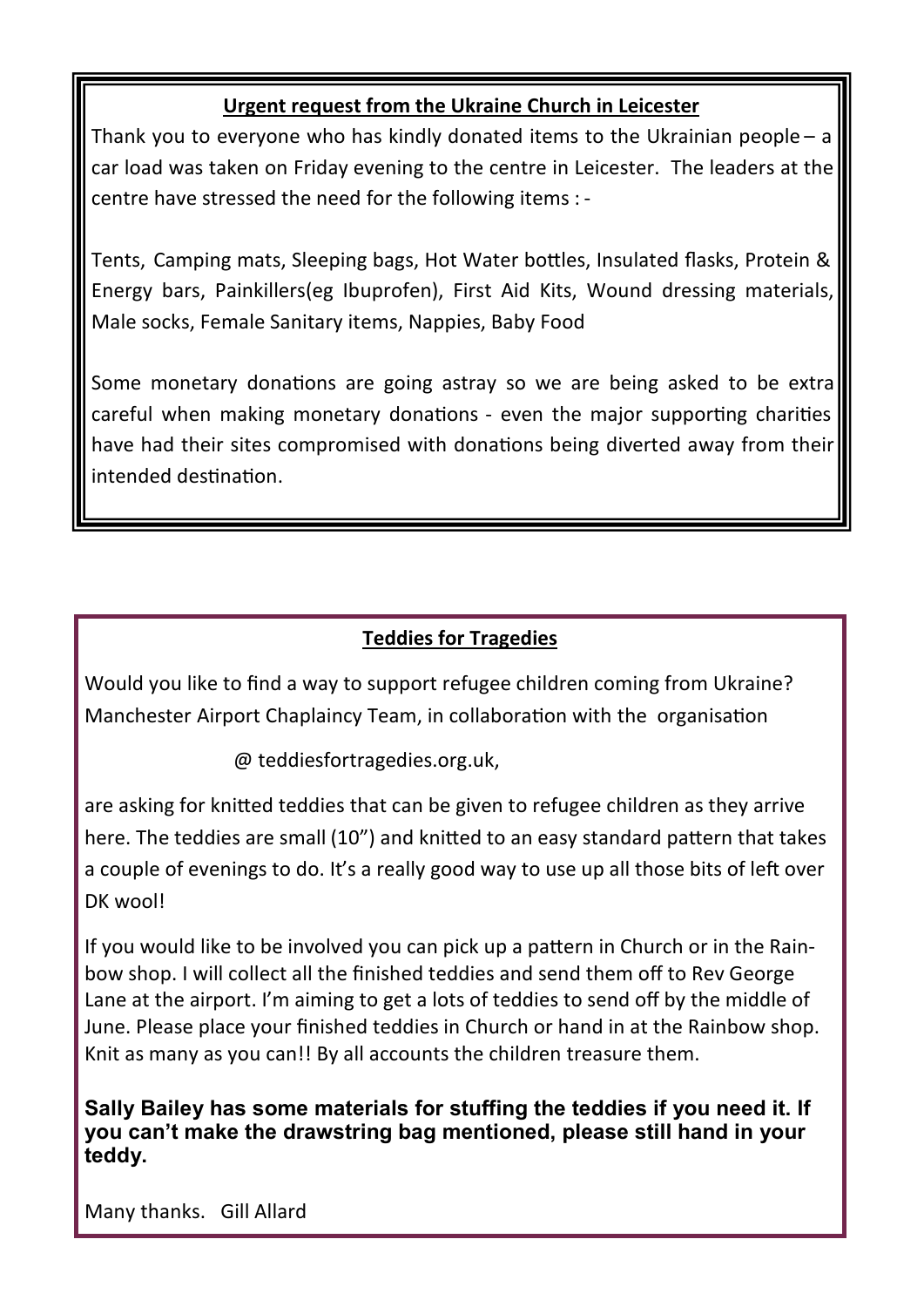#### **Urgent request from the Ukraine Church in Leicester**

Thank you to everyone who has kindly donated items to the Ukrainian people – a car load was taken on Friday evening to the centre in Leicester. The leaders at the centre have stressed the need for the following items : -

Tents, Camping mats, Sleeping bags, Hot Water bottles, Insulated flasks, Protein & Energy bars, Painkillers(eg Ibuprofen), First Aid Kits, Wound dressing materials, Male socks, Female Sanitary items, Nappies, Baby Food

Some monetary donations are going astray so we are being asked to be extra careful when making monetary donations - even the major supporting charities have had their sites compromised with donations being diverted away from their intended destination.

### **Teddies for Tragedies**

Would you like to find a way to support refugee children coming from Ukraine? Manchester Airport Chaplaincy Team, in collaboration with the organisation

@ teddiesfortragedies.org.uk,

are asking for knitted teddies that can be given to refugee children as they arrive here. The teddies are small (10") and knitted to an easy standard pattern that takes a couple of evenings to do. It's a really good way to use up all those bits of left over DK wool!

If you would like to be involved you can pick up a pattern in Church or in the Rainbow shop. I will collect all the finished teddies and send them off to Rev George Lane at the airport. I'm aiming to get a lots of teddies to send off by the middle of June. Please place your finished teddies in Church or hand in at the Rainbow shop. Knit as many as you can!! By all accounts the children treasure them.

**Sally Bailey has some materials for stuffing the teddies if you need it. If you can't make the drawstring bag mentioned, please still hand in your teddy.**

Many thanks. Gill Allard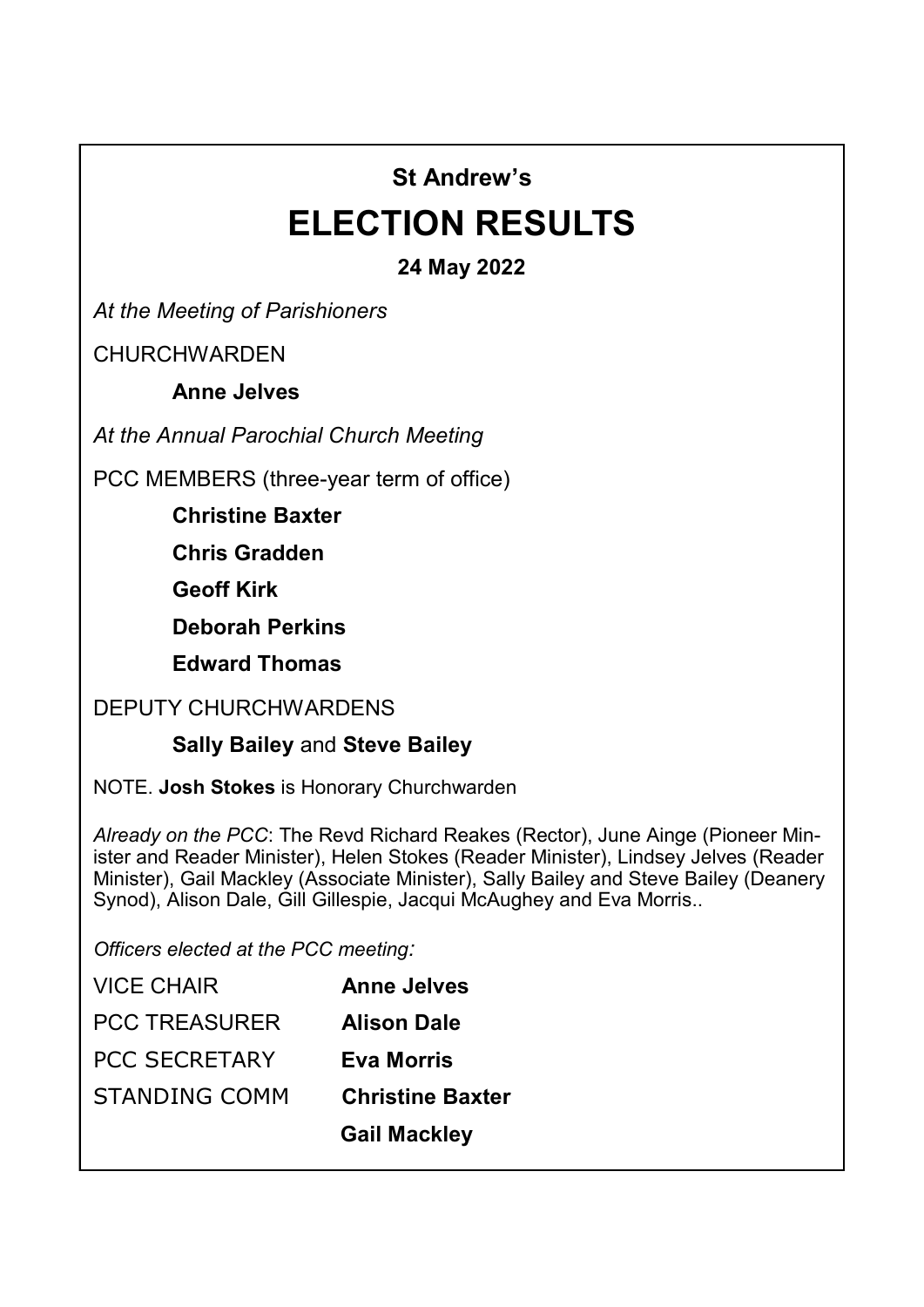# **St Andrew's**

# **ELECTION RESULTS**

## **24 May 2022**

*At the Meeting of Parishioners*

**CHURCHWARDEN** 

**Anne Jelves**

*At the Annual Parochial Church Meeting*

PCC MEMBERS (three-year term of office)

**Christine Baxter**

**Chris Gradden**

**Geoff Kirk**

**Deborah Perkins**

**Edward Thomas**

#### DEPUTY CHURCHWARDENS

#### **Sally Bailey** and **Steve Bailey**

NOTE. **Josh Stokes** is Honorary Churchwarden

*Already on the PCC*: The Revd Richard Reakes (Rector), June Ainge (Pioneer Minister and Reader Minister), Helen Stokes (Reader Minister), Lindsey Jelves (Reader Minister), Gail Mackley (Associate Minister), Sally Bailey and Steve Bailey (Deanery Synod), Alison Dale, Gill Gillespie, Jacqui McAughey and Eva Morris..

*Officers elected at the PCC meeting:*

| <b>VICE CHAIR</b>    | <b>Anne Jelves</b>      |
|----------------------|-------------------------|
| <b>PCC TREASURER</b> | <b>Alison Dale</b>      |
| <b>PCC SECRETARY</b> | Eva Morris              |
| STANDING COMM        | <b>Christine Baxter</b> |
|                      | <b>Gail Mackley</b>     |
|                      |                         |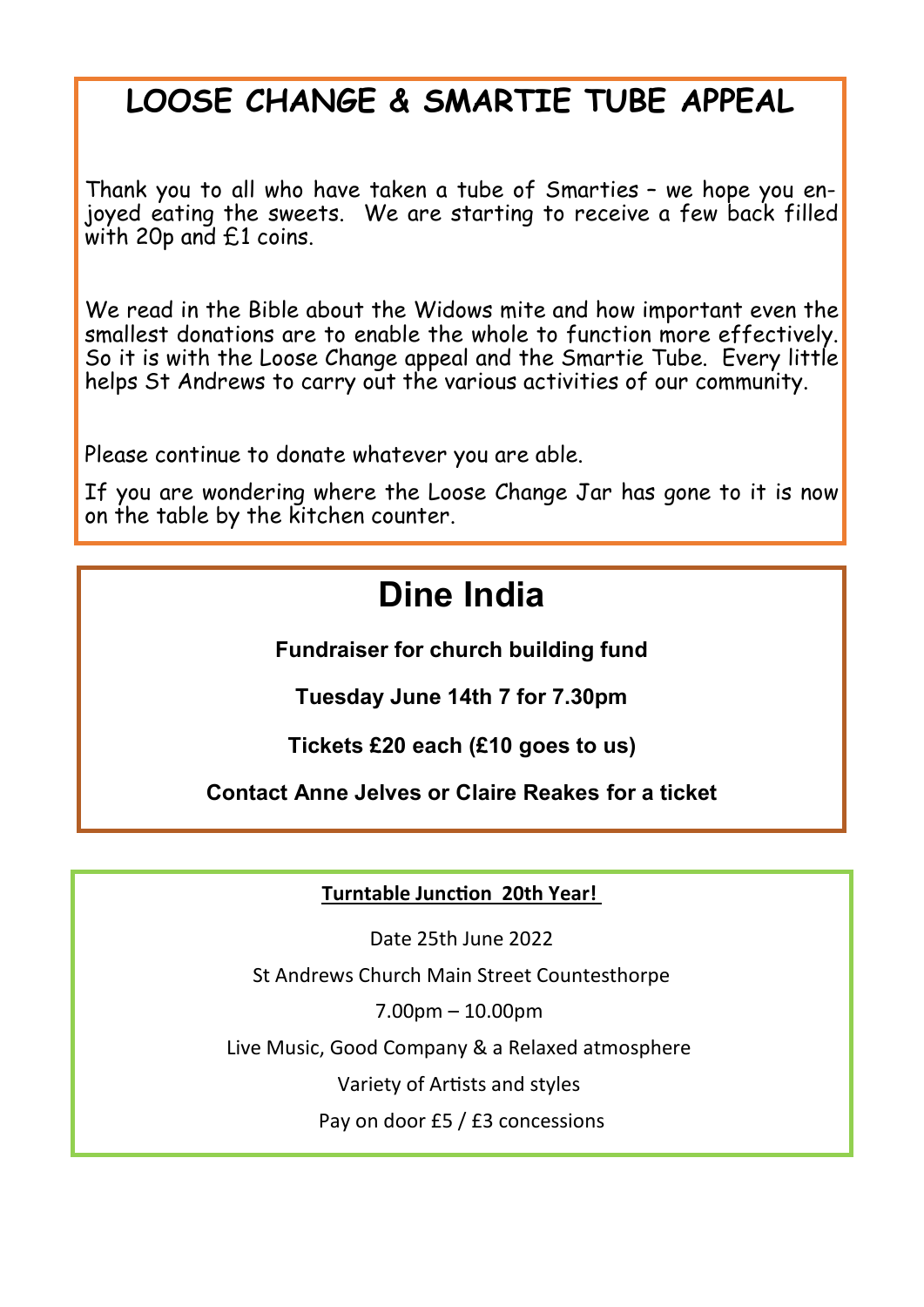# **LOOSE CHANGE & SMARTIE TUBE APPEAL**

Thank you to all who have taken a tube of Smarties – we hope you enjoyed eating the sweets. We are starting to receive a few back filled with 20p and £1 coins.

We read in the Bible about the Widows mite and how important even the smallest donations are to enable the whole to function more effectively. So it is with the Loose Change appeal and the Smartie Tube. Every little helps St Andrews to carry out the various activities of our community.

Please continue to donate whatever you are able.

If you are wondering where the Loose Change Jar has gone to it is now on the table by the kitchen counter.

# **Dine India**

**Fundraiser for church building fund**

**Tuesday June 14th 7 for 7.30pm**

**Tickets £20 each (£10 goes to us)**

**Contact Anne Jelves or Claire Reakes for a ticket**

**Turntable Junction 20th Year!**

Date 25th June 2022

St Andrews Church Main Street Countesthorpe

7.00pm – 10.00pm

Live Music, Good Company & a Relaxed atmosphere

Variety of Artists and styles

Pay on door £5 / £3 concessions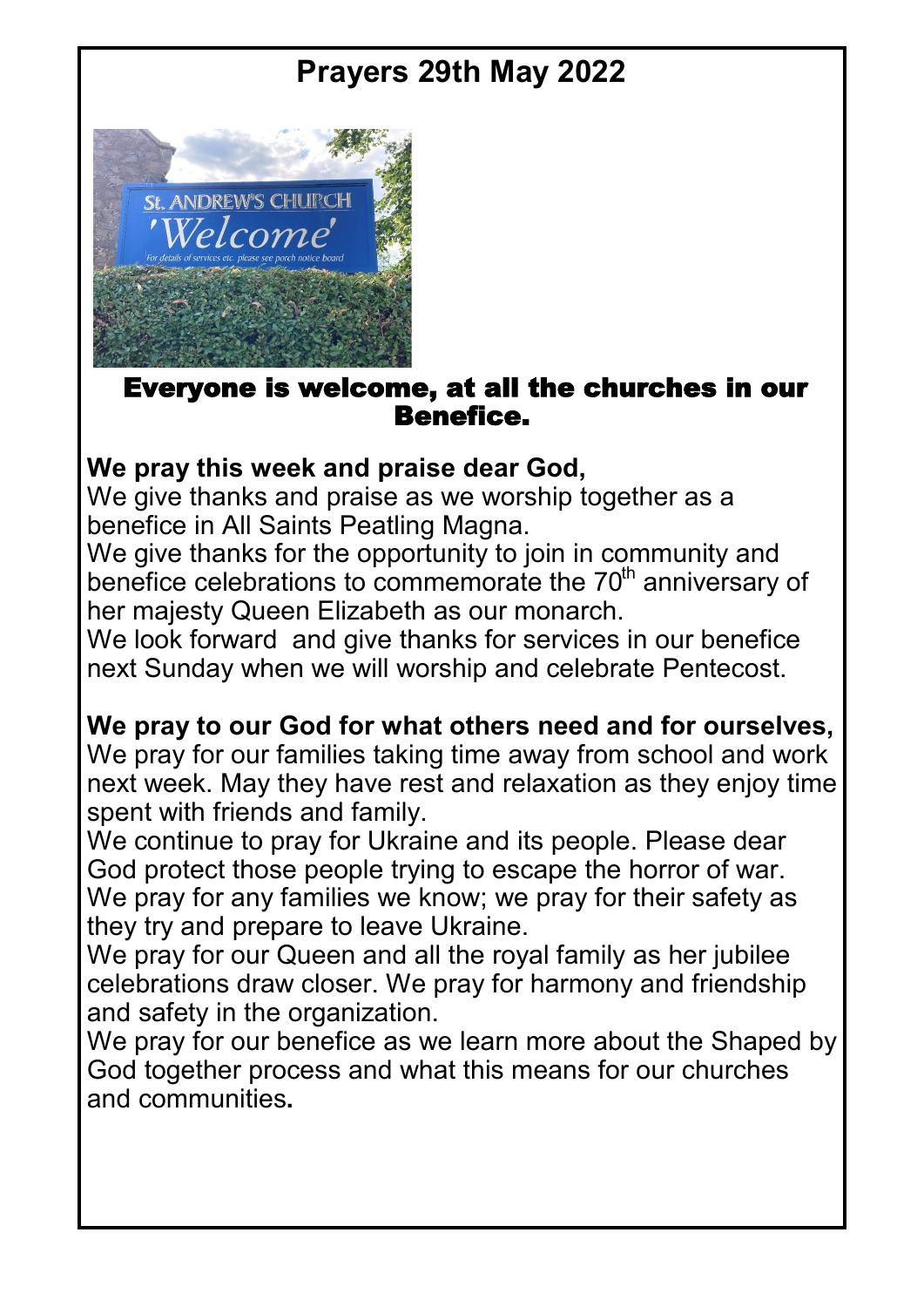# **Prayers 29th May 2022**



## Everyone is welcome, at all the churches in our Benefice.

## **We pray this week and praise dear God,**

We give thanks and praise as we worship together as a benefice in All Saints Peatling Magna.

We give thanks for the opportunity to join in community and benefice celebrations to commemorate the  $70<sup>th</sup>$  anniversary of her majesty Queen Elizabeth as our monarch.

We look forward and give thanks for services in our benefice next Sunday when we will worship and celebrate Pentecost.

## **We pray to our God for what others need and for ourselves,**

We pray for our families taking time away from school and work next week. May they have rest and relaxation as they enjoy time spent with friends and family.

We continue to pray for Ukraine and its people. Please dear God protect those people trying to escape the horror of war. We pray for any families we know; we pray for their safety as they try and prepare to leave Ukraine.

We pray for our Queen and all the royal family as her jubilee celebrations draw closer. We pray for harmony and friendship and safety in the organization.

We pray for our benefice as we learn more about the Shaped by God together process and what this means for our churches and communities**.**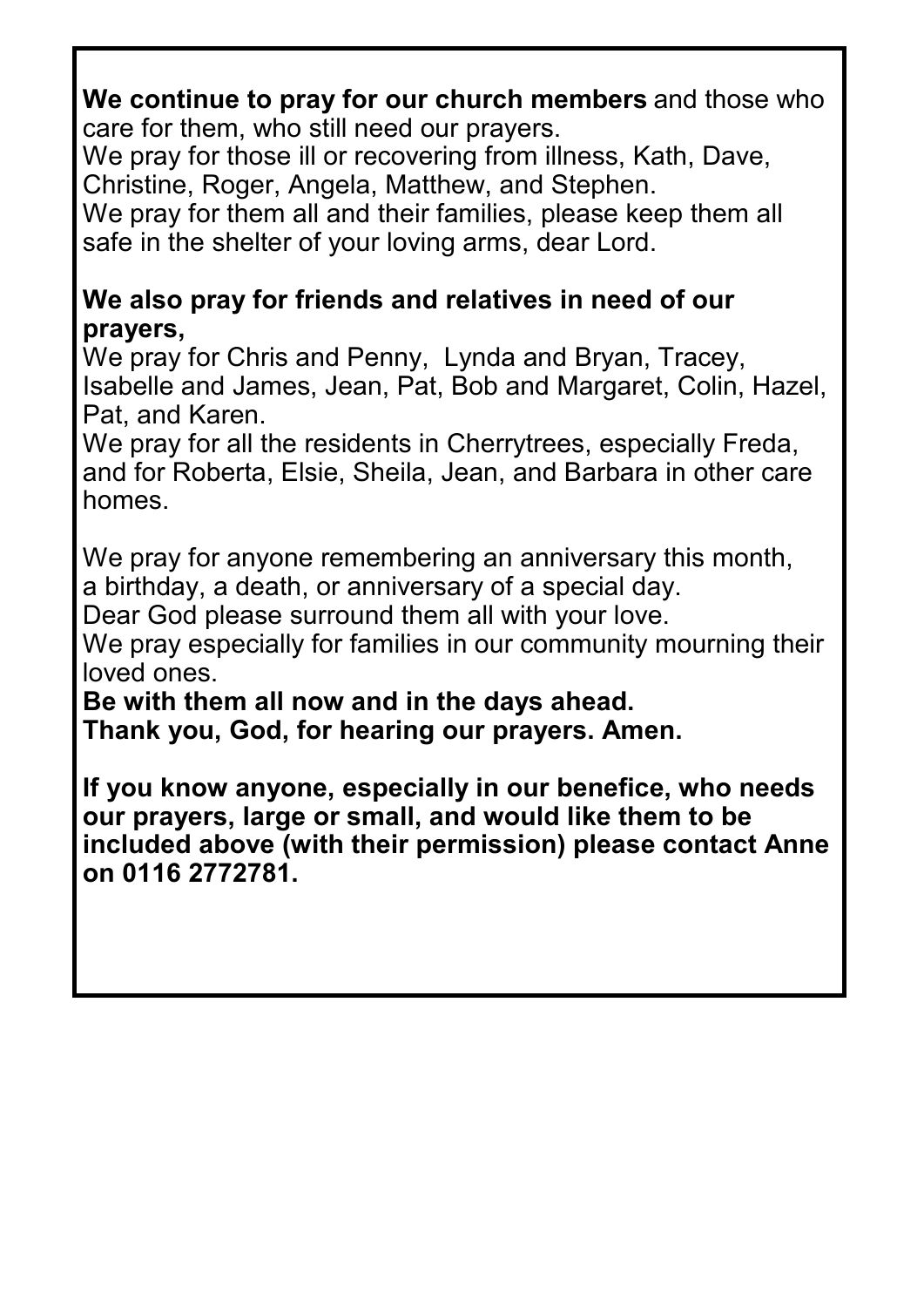## **We continue to pray for our church members** and those who care for them, who still need our prayers.

We pray for those ill or recovering from illness, Kath, Dave, Christine, Roger, Angela, Matthew, and Stephen.

We pray for them all and their families, please keep them all safe in the shelter of your loving arms, dear Lord.

## **We also pray for friends and relatives in need of our prayers,**

We pray for Chris and Penny, Lynda and Bryan, Tracey, Isabelle and James, Jean, Pat, Bob and Margaret, Colin, Hazel, Pat, and Karen.

We pray for all the residents in Cherrytrees, especially Freda, and for Roberta, Elsie, Sheila, Jean, and Barbara in other care homes.

We pray for anyone remembering an anniversary this month, a birthday, a death, or anniversary of a special day.

Dear God please surround them all with your love.

We pray especially for families in our community mourning their loved ones.

**Be with them all now and in the days ahead. Thank you, God, for hearing our prayers. Amen.**

**If you know anyone, especially in our benefice, who needs our prayers, large or small, and would like them to be included above (with their permission) please contact Anne on 0116 2772781.**